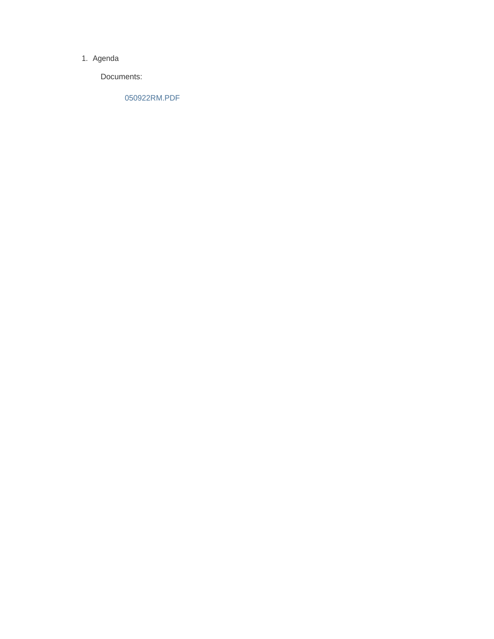### 1. Agenda

Documents:

050922RM.PDF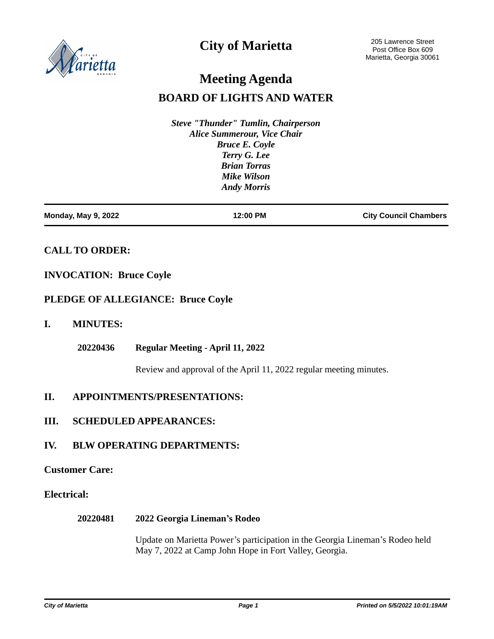

## **City of Marietta**

# **Meeting Agenda**

## **BOARD OF LIGHTS AND WATER**

*Steve "Thunder" Tumlin, Chairperson Alice Summerour, Vice Chair Bruce E. Coyle Terry G. Lee Brian Torras Mike Wilson Andy Morris*

| <b>Monday, May 9, 2022</b> | 12:00 PM | <b>City Council Chambers</b> |
|----------------------------|----------|------------------------------|

## **CALL TO ORDER:**

## **INVOCATION: Bruce Coyle**

## **PLEDGE OF ALLEGIANCE: Bruce Coyle**

## **I. MINUTES:**

### **Regular Meeting - April 11, 2022 20220436**

Review and approval of the April 11, 2022 regular meeting minutes.

## **II. APPOINTMENTS/PRESENTATIONS:**

## **III. SCHEDULED APPEARANCES:**

## **IV. BLW OPERATING DEPARTMENTS:**

### **Customer Care:**

## **Electrical:**

### **2022 Georgia Lineman's Rodeo 20220481**

Update on Marietta Power's participation in the Georgia Lineman's Rodeo held May 7, 2022 at Camp John Hope in Fort Valley, Georgia.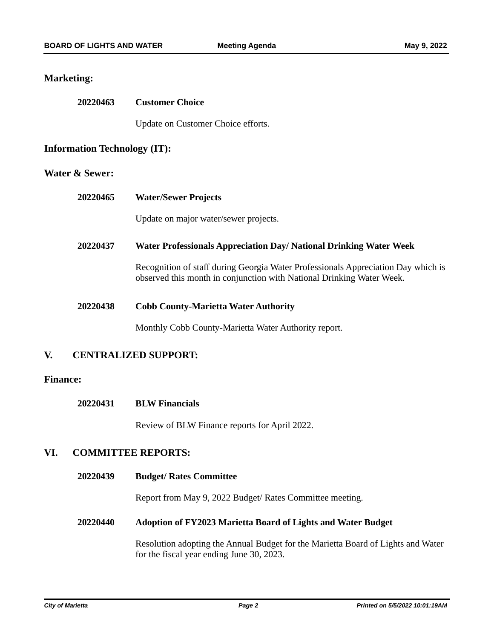### **Marketing:**

| 20220463 | Customer Choice                    |  |
|----------|------------------------------------|--|
|          | Update on Customer Choice efforts. |  |

## **Information Technology (IT):**

## **Water & Sewer:**

| 20220465 | <b>Water/Sewer Projects</b>                                                                                                                                |  |
|----------|------------------------------------------------------------------------------------------------------------------------------------------------------------|--|
|          | Update on major water/sewer projects.                                                                                                                      |  |
| 20220437 | <b>Water Professionals Appreciation Day/ National Drinking Water Week</b>                                                                                  |  |
|          | Recognition of staff during Georgia Water Professionals Appreciation Day which is<br>observed this month in conjunction with National Drinking Water Week. |  |
| 20220438 | <b>Cobb County-Marietta Water Authority</b>                                                                                                                |  |
|          | Monthly Cobb County-Marietta Water Authority report.                                                                                                       |  |

## **V. CENTRALIZED SUPPORT:**

## **Finance:**

| <b>20220431</b> | <b>BLW</b> Financials |
|-----------------|-----------------------|
|-----------------|-----------------------|

Review of BLW Finance reports for April 2022.

## **VI. COMMITTEE REPORTS:**

**Budget/ Rates Committee 20220439**

Report from May 9, 2022 Budget/ Rates Committee meeting.

#### **Adoption of FY2023 Marietta Board of Lights and Water Budget 20220440**

Resolution adopting the Annual Budget for the Marietta Board of Lights and Water for the fiscal year ending June 30, 2023.